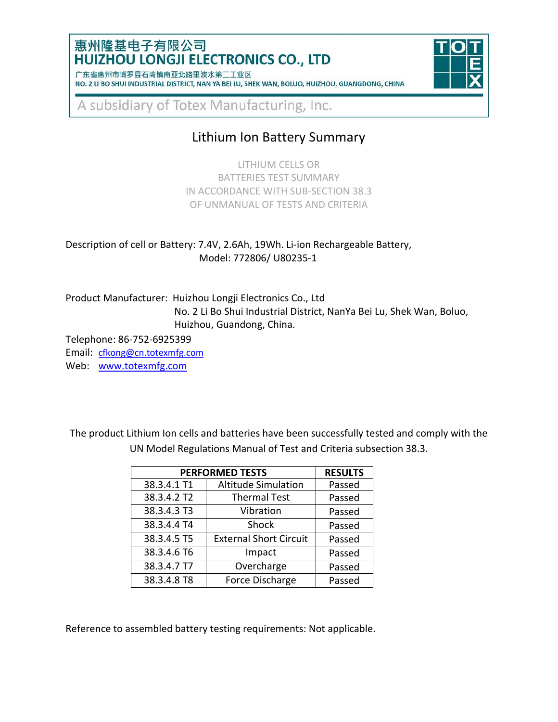### 惠州隆基电子有限公司 **HUIZHOU LONGJI ELECTRONICS CO., LTD**

| 1 朱省惠州市博岁县石湾镇南业北路里波水弟二上业区 |                                                                                                 |  |  |  |  |  |  |
|---------------------------|-------------------------------------------------------------------------------------------------|--|--|--|--|--|--|
|                           | NO. 2 LI BO SHUI INDUSTRIAL DISTRICT, NAN YA BEI LU, SHEK WAN, BOLUO, HUIZHOU, GUANGDONG, CHINA |  |  |  |  |  |  |



A subsidiary of Totex Manufacturing, Inc.

# Lithium Ion Battery Summary

LITHIUM CELLS OR BATTERIES TEST SUMMARY IN ACCORDANCE WITH SUB-SECTION 38.3 OF UNMANUAL OF TESTS AND CRITERIA

Description of cell or Battery: 7.4V, 2.6Ah, 19Wh. Li-ion Rechargeable Battery, Model: 772806/ U80235-1

Product Manufacturer: Huizhou Longji Electronics Co., Ltd No. 2 Li Bo Shui Industrial District, NanYa Bei Lu, Shek Wan, Boluo, Huizhou, Guandong, China.

Telephone: 86-752-6925399

Email: [cfkong@cn.totexmfg.com](mailto:cfkong@cn.totexmfg.com) Web: [www.totexmfg.com](http://www.totexmfg.com/)

The product Lithium Ion cells and batteries have been successfully tested and comply with the UN Model Regulations Manual of Test and Criteria subsection 38.3.

| <b>PERFORMED TESTS</b> | <b>RESULTS</b>                |        |
|------------------------|-------------------------------|--------|
| 38.3.4.1 T1            | <b>Altitude Simulation</b>    | Passed |
| 38.3.4.2 T2            | <b>Thermal Test</b>           | Passed |
| 38.3.4.3 T3            | Vibration                     | Passed |
| 38.3.4.4 T4            | Shock                         | Passed |
| 38.3.4.5 T5            | <b>External Short Circuit</b> | Passed |
| 38.3.4.6 T6            | Impact                        | Passed |
| 38.3.4.7 T7            | Overcharge                    | Passed |
| 38.3.4.8 T8            | Force Discharge               | Passed |

Reference to assembled battery testing requirements: Not applicable.